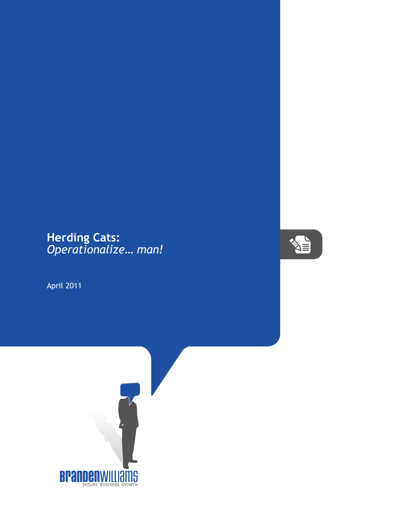## **Herding Cats:** *Operationalize… man!*

April 2011



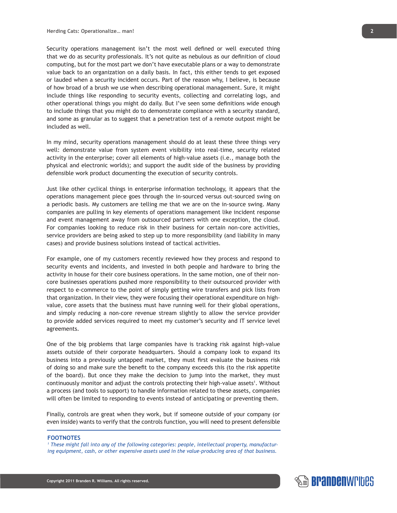Security operations management isn't the most well defined or well executed thing that we do as security professionals. It's not quite as nebulous as our definition of cloud computing, but for the most part we don't have executable plans or a way to demonstrate value back to an organization on a daily basis. In fact, this either tends to get exposed or lauded when a security incident occurs. Part of the reason why, I believe, is because of how broad of a brush we use when describing operational management. Sure, it might include things like responding to security events, collecting and correlating logs, and other operational things you might do daily. But I've seen some definitions wide enough to include things that you might do to demonstrate compliance with a security standard, and some as granular as to suggest that a penetration test of a remote outpost might be included as well.

In my mind, security operations management should do at least these three things very well: demonstrate value from system event visibility into real-time, security related activity in the enterprise; cover all elements of high-value assets (i.e., manage both the physical and electronic worlds); and support the audit side of the business by providing defensible work product documenting the execution of security controls.

Just like other cyclical things in enterprise information technology, it appears that the operations management piece goes through the in-sourced versus out-sourced swing on a periodic basis. My customers are telling me that we are on the in-source swing. Many companies are pulling in key elements of operations management like incident response and event management away from outsourced partners with one exception, the cloud. For companies looking to reduce risk in their business for certain non-core activities, service providers are being asked to step up to more responsibility (and liability in many cases) and provide business solutions instead of tactical activities.

For example, one of my customers recently reviewed how they process and respond to security events and incidents, and invested in both people and hardware to bring the activity in house for their core business operations. In the same motion, one of their noncore businesses operations pushed more responsibility to their outsourced provider with respect to e-commerce to the point of simply getting wire transfers and pick lists from that organization. In their view, they were focusing their operational expenditure on highvalue, core assets that the business must have running well for their global operations, and simply reducing a non-core revenue stream slightly to allow the service provider to provide added services required to meet my customer's security and IT service level agreements.

One of the big problems that large companies have is tracking risk against high-value assets outside of their corporate headquarters. Should a company look to expand its business into a previously untapped market, they must first evaluate the business risk of doing so and make sure the benefit to the company exceeds this (to the risk appetite of the board). But once they make the decision to jump into the market, they must continuously monitor and adjust the controls protecting their high-value assets<sup>1</sup>. Without a process (and tools to support) to handle information related to these assets, companies will often be limited to responding to events instead of anticipating or preventing them.

Finally, controls are great when they work, but if someone outside of your company (or even inside) wants to verify that the controls function, you will need to present defensible

## **FOOTNOTES**

*1 These might fall into any of the following categories: people, intellectual property, manufacturing equipment, cash, or other expensive assets used in the value-producing area of that business.*

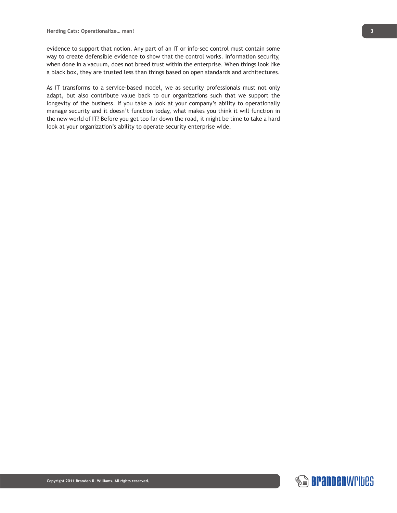evidence to support that notion. Any part of an IT or info-sec control must contain some way to create defensible evidence to show that the control works. Information security, when done in a vacuum, does not breed trust within the enterprise. When things look like a black box, they are trusted less than things based on open standards and architectures.

As IT transforms to a service-based model, we as security professionals must not only adapt, but also contribute value back to our organizations such that we support the longevity of the business. If you take a look at your company's ability to operationally manage security and it doesn't function today, what makes you think it will function in the new world of IT? Before you get too far down the road, it might be time to take a hard look at your organization's ability to operate security enterprise wide.